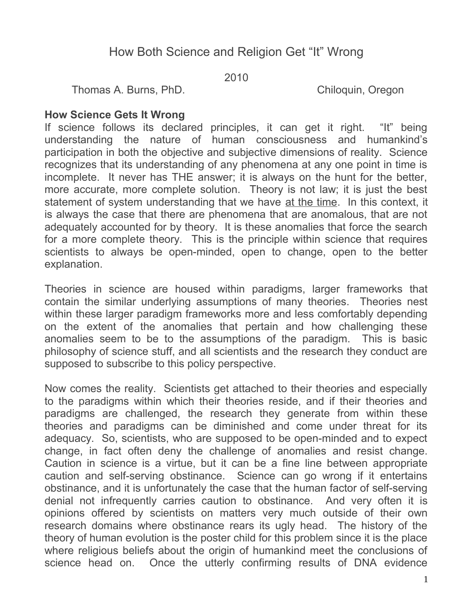# How Both Science and Religion Get "It" Wrong

2010

Thomas A. Burns, PhD. Chiloquin, Oregon

### **How Science Gets It Wrong**

If science follows its declared principles, it can get it right. "It" being understanding the nature of human consciousness and humankind's participation in both the objective and subjective dimensions of reality. Science recognizes that its understanding of any phenomena at any one point in time is incomplete. It never has THE answer; it is always on the hunt for the better, more accurate, more complete solution. Theory is not law; it is just the best statement of system understanding that we have at the time. In this context, it is always the case that there are phenomena that are anomalous, that are not adequately accounted for by theory. It is these anomalies that force the search for a more complete theory. This is the principle within science that requires scientists to always be open-minded, open to change, open to the better explanation.

Theories in science are housed within paradigms, larger frameworks that contain the similar underlying assumptions of many theories. Theories nest within these larger paradigm frameworks more and less comfortably depending on the extent of the anomalies that pertain and how challenging these anomalies seem to be to the assumptions of the paradigm. This is basic philosophy of science stuff, and all scientists and the research they conduct are supposed to subscribe to this policy perspective.

Now comes the reality. Scientists get attached to their theories and especially to the paradigms within which their theories reside, and if their theories and paradigms are challenged, the research they generate from within these theories and paradigms can be diminished and come under threat for its adequacy. So, scientists, who are supposed to be open-minded and to expect change, in fact often deny the challenge of anomalies and resist change. Caution in science is a virtue, but it can be a fine line between appropriate caution and self-serving obstinance. Science can go wrong if it entertains obstinance, and it is unfortunately the case that the human factor of self-serving denial not infrequently carries caution to obstinance. And very often it is opinions offered by scientists on matters very much outside of their own research domains where obstinance rears its ugly head. The history of the theory of human evolution is the poster child for this problem since it is the place where religious beliefs about the origin of humankind meet the conclusions of science head on. Once the utterly confirming results of DNA evidence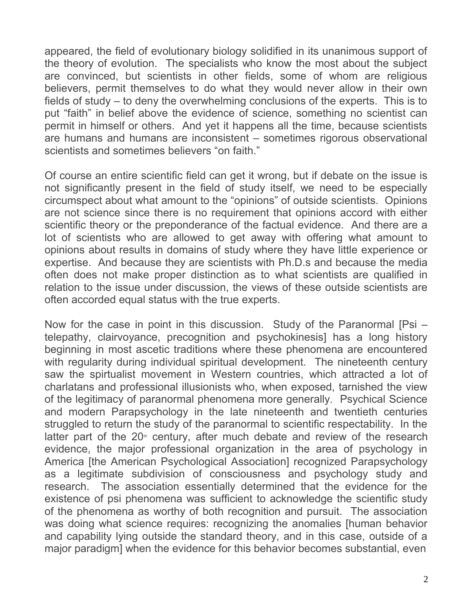appeared, the field of evolutionary biology solidified in its unanimous support of the theory of evolution. The specialists who know the most about the subject are convinced, but scientists in other fields, some of whom are religious believers, permit themselves to do what they would never allow in their own fields of study – to deny the overwhelming conclusions of the experts. This is to put "faith" in belief above the evidence of science, something no scientist can permit in himself or others. And yet it happens all the time, because scientists are humans and humans are inconsistent – sometimes rigorous observational scientists and sometimes believers "on faith."

Of course an entire scientific field can get it wrong, but if debate on the issue is not significantly present in the field of study itself, we need to be especially circumspect about what amount to the "opinions" of outside scientists. Opinions are not science since there is no requirement that opinions accord with either scientific theory or the preponderance of the factual evidence. And there are a lot of scientists who are allowed to get away with offering what amount to opinions about results in domains of study where they have little experience or expertise. And because they are scientists with Ph.D.s and because the media often does not make proper distinction as to what scientists are qualified in relation to the issue under discussion, the views of these outside scientists are often accorded equal status with the true experts.

Now for the case in point in this discussion. Study of the Paranormal [Psi – telepathy, clairvoyance, precognition and psychokinesis] has a long history beginning in most ascetic traditions where these phenomena are encountered with regularity during individual spiritual development. The nineteenth century saw the spirtualist movement in Western countries, which attracted a lot of charlatans and professional illusionists who, when exposed, tarnished the view of the legitimacy of paranormal phenomena more generally. Psychical Science and modern Parapsychology in the late nineteenth and twentieth centuries struggled to return the study of the paranormal to scientific respectability. In the latter part of the  $20<sup>th</sup>$  century, after much debate and review of the research evidence, the major professional organization in the area of psychology in America [the American Psychological Association] recognized Parapsychology as a legitimate subdivision of consciousness and psychology study and research. The association essentially determined that the evidence for the existence of psi phenomena was sufficient to acknowledge the scientific study of the phenomena as worthy of both recognition and pursuit. The association was doing what science requires: recognizing the anomalies [human behavior and capability lying outside the standard theory, and in this case, outside of a major paradigm] when the evidence for this behavior becomes substantial, even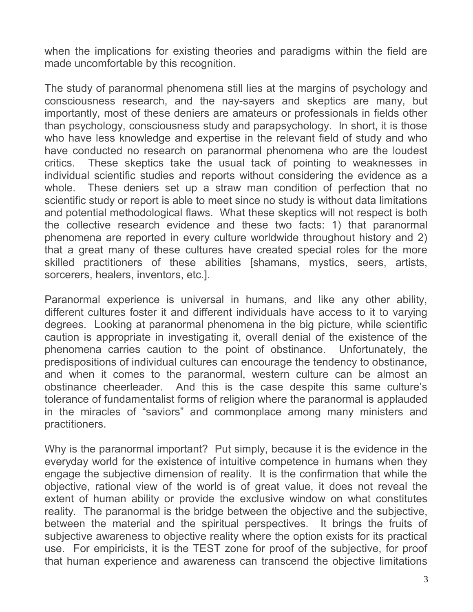when the implications for existing theories and paradigms within the field are made uncomfortable by this recognition.

The study of paranormal phenomena still lies at the margins of psychology and consciousness research, and the nay-sayers and skeptics are many, but importantly, most of these deniers are amateurs or professionals in fields other than psychology, consciousness study and parapsychology. In short, it is those who have less knowledge and expertise in the relevant field of study and who have conducted no research on paranormal phenomena who are the loudest critics. These skeptics take the usual tack of pointing to weaknesses in individual scientific studies and reports without considering the evidence as a whole. These deniers set up a straw man condition of perfection that no scientific study or report is able to meet since no study is without data limitations and potential methodological flaws. What these skeptics will not respect is both the collective research evidence and these two facts: 1) that paranormal phenomena are reported in every culture worldwide throughout history and 2) that a great many of these cultures have created special roles for the more skilled practitioners of these abilities [shamans, mystics, seers, artists, sorcerers, healers, inventors, etc.].

Paranormal experience is universal in humans, and like any other ability, different cultures foster it and different individuals have access to it to varying degrees. Looking at paranormal phenomena in the big picture, while scientific caution is appropriate in investigating it, overall denial of the existence of the phenomena carries caution to the point of obstinance. Unfortunately, the predispositions of individual cultures can encourage the tendency to obstinance, and when it comes to the paranormal, western culture can be almost an obstinance cheerleader. And this is the case despite this same culture's tolerance of fundamentalist forms of religion where the paranormal is applauded in the miracles of "saviors" and commonplace among many ministers and practitioners.

Why is the paranormal important? Put simply, because it is the evidence in the everyday world for the existence of intuitive competence in humans when they engage the subjective dimension of reality. It is the confirmation that while the objective, rational view of the world is of great value, it does not reveal the extent of human ability or provide the exclusive window on what constitutes reality. The paranormal is the bridge between the objective and the subjective, between the material and the spiritual perspectives. It brings the fruits of subjective awareness to objective reality where the option exists for its practical use. For empiricists, it is the TEST zone for proof of the subjective, for proof that human experience and awareness can transcend the objective limitations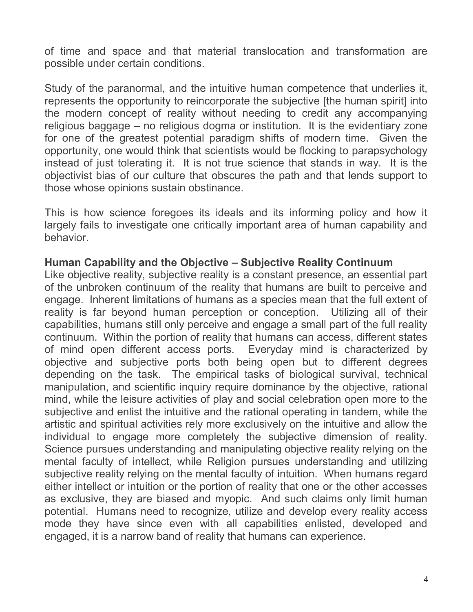of time and space and that material translocation and transformation are possible under certain conditions.

Study of the paranormal, and the intuitive human competence that underlies it, represents the opportunity to reincorporate the subjective [the human spirit] into the modern concept of reality without needing to credit any accompanying religious baggage – no religious dogma or institution. It is the evidentiary zone for one of the greatest potential paradigm shifts of modern time. Given the opportunity, one would think that scientists would be flocking to parapsychology instead of just tolerating it. It is not true science that stands in way. It is the objectivist bias of our culture that obscures the path and that lends support to those whose opinions sustain obstinance.

This is how science foregoes its ideals and its informing policy and how it largely fails to investigate one critically important area of human capability and behavior.

## **Human Capability and the Objective – Subjective Reality Continuum**

Like objective reality, subjective reality is a constant presence, an essential part of the unbroken continuum of the reality that humans are built to perceive and engage. Inherent limitations of humans as a species mean that the full extent of reality is far beyond human perception or conception. Utilizing all of their capabilities, humans still only perceive and engage a small part of the full reality continuum. Within the portion of reality that humans can access, different states of mind open different access ports. Everyday mind is characterized by objective and subjective ports both being open but to different degrees depending on the task. The empirical tasks of biological survival, technical manipulation, and scientific inquiry require dominance by the objective, rational mind, while the leisure activities of play and social celebration open more to the subjective and enlist the intuitive and the rational operating in tandem, while the artistic and spiritual activities rely more exclusively on the intuitive and allow the individual to engage more completely the subjective dimension of reality. Science pursues understanding and manipulating objective reality relying on the mental faculty of intellect, while Religion pursues understanding and utilizing subjective reality relying on the mental faculty of intuition. When humans regard either intellect or intuition or the portion of reality that one or the other accesses as exclusive, they are biased and myopic. And such claims only limit human potential. Humans need to recognize, utilize and develop every reality access mode they have since even with all capabilities enlisted, developed and engaged, it is a narrow band of reality that humans can experience.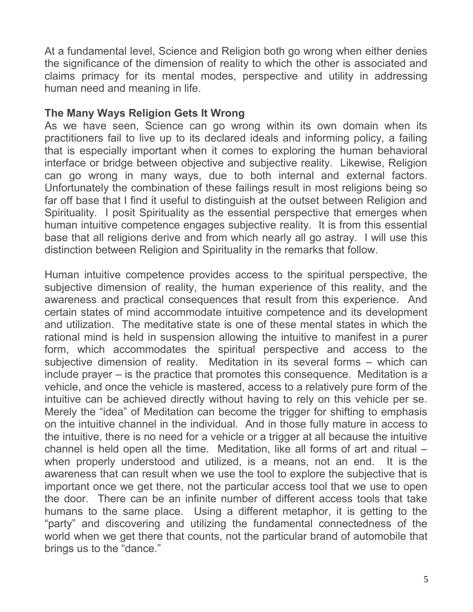At a fundamental level, Science and Religion both go wrong when either denies the significance of the dimension of reality to which the other is associated and claims primacy for its mental modes, perspective and utility in addressing human need and meaning in life.

### **The Many Ways Religion Gets It Wrong**

As we have seen, Science can go wrong within its own domain when its practitioners fail to live up to its declared ideals and informing policy, a failing that is especially important when it comes to exploring the human behavioral interface or bridge between objective and subjective reality. Likewise, Religion can go wrong in many ways, due to both internal and external factors. Unfortunately the combination of these failings result in most religions being so far off base that I find it useful to distinguish at the outset between Religion and Spirituality. I posit Spirituality as the essential perspective that emerges when human intuitive competence engages subjective reality. It is from this essential base that all religions derive and from which nearly all go astray. I will use this distinction between Religion and Spirituality in the remarks that follow.

Human intuitive competence provides access to the spiritual perspective, the subjective dimension of reality, the human experience of this reality, and the awareness and practical consequences that result from this experience. And certain states of mind accommodate intuitive competence and its development and utilization. The meditative state is one of these mental states in which the rational mind is held in suspension allowing the intuitive to manifest in a purer form, which accommodates the spiritual perspective and access to the subjective dimension of reality. Meditation in its several forms – which can include prayer – is the practice that promotes this consequence. Meditation is a vehicle, and once the vehicle is mastered, access to a relatively pure form of the intuitive can be achieved directly without having to rely on this vehicle per se. Merely the "idea" of Meditation can become the trigger for shifting to emphasis on the intuitive channel in the individual. And in those fully mature in access to the intuitive, there is no need for a vehicle or a trigger at all because the intuitive channel is held open all the time. Meditation, like all forms of art and ritual – when properly understood and utilized, is a means, not an end. It is the awareness that can result when we use the tool to explore the subjective that is important once we get there, not the particular access tool that we use to open the door. There can be an infinite number of different access tools that take humans to the same place. Using a different metaphor, it is getting to the "party" and discovering and utilizing the fundamental connectedness of the world when we get there that counts, not the particular brand of automobile that brings us to the "dance."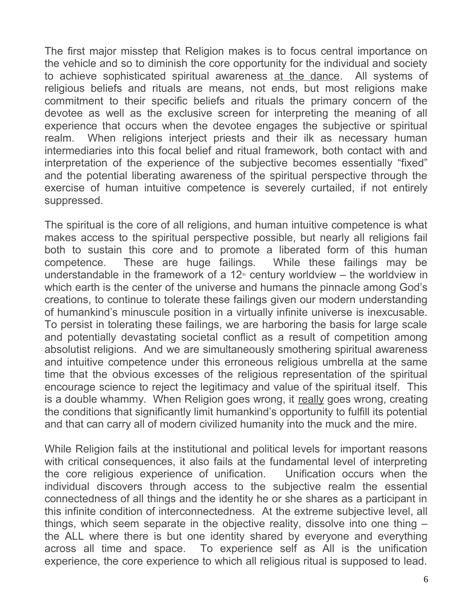The first major misstep that Religion makes is to focus central importance on the vehicle and so to diminish the core opportunity for the individual and society to achieve sophisticated spiritual awareness at the dance. All systems of religious beliefs and rituals are means, not ends, but most religions make commitment to their specific beliefs and rituals the primary concern of the devotee as well as the exclusive screen for interpreting the meaning of all experience that occurs when the devotee engages the subjective or spiritual realm. When religions interject priests and their ilk as necessary human intermediaries into this focal belief and ritual framework, both contact with and interpretation of the experience of the subjective becomes essentially "fixed" and the potential liberating awareness of the spiritual perspective through the exercise of human intuitive competence is severely curtailed, if not entirely suppressed.

The spiritual is the core of all religions, and human intuitive competence is what makes access to the spiritual perspective possible, but nearly all religions fail both to sustain this core and to promote a liberated form of this human competence. These are huge failings. While these failings may be understandable in the framework of a  $12<sup>th</sup>$  century worldview – the worldview in which earth is the center of the universe and humans the pinnacle among God's creations, to continue to tolerate these failings given our modern understanding of humankind's minuscule position in a virtually infinite universe is inexcusable. To persist in tolerating these failings, we are harboring the basis for large scale and potentially devastating societal conflict as a result of competition among absolutist religions. And we are simultaneously smothering spiritual awareness and intuitive competence under this erroneous religious umbrella at the same time that the obvious excesses of the religious representation of the spiritual encourage science to reject the legitimacy and value of the spiritual itself. This is a double whammy. When Religion goes wrong, it really goes wrong, creating the conditions that significantly limit humankind's opportunity to fulfill its potential and that can carry all of modern civilized humanity into the muck and the mire.

While Religion fails at the institutional and political levels for important reasons with critical consequences, it also fails at the fundamental level of interpreting the core religious experience of unification. Unification occurs when the individual discovers through access to the subjective realm the essential connectedness of all things and the identity he or she shares as a participant in this infinite condition of interconnectedness. At the extreme subjective level, all things, which seem separate in the objective reality, dissolve into one thing – the ALL where there is but one identity shared by everyone and everything across all time and space. To experience self as All is the unification experience, the core experience to which all religious ritual is supposed to lead.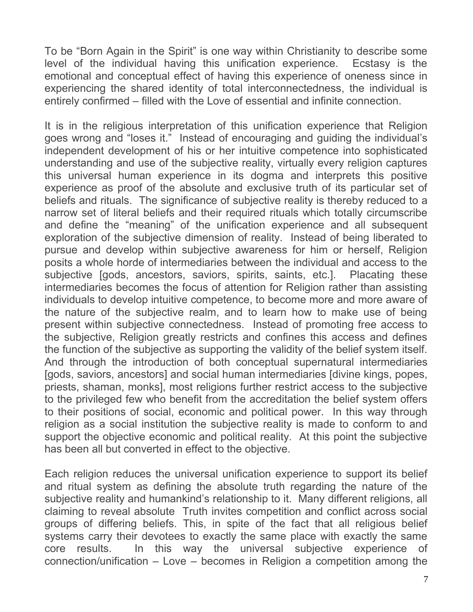To be "Born Again in the Spirit" is one way within Christianity to describe some level of the individual having this unification experience. Ecstasy is the emotional and conceptual effect of having this experience of oneness since in experiencing the shared identity of total interconnectedness, the individual is entirely confirmed – filled with the Love of essential and infinite connection.

It is in the religious interpretation of this unification experience that Religion goes wrong and "loses it." Instead of encouraging and guiding the individual's independent development of his or her intuitive competence into sophisticated understanding and use of the subjective reality, virtually every religion captures this universal human experience in its dogma and interprets this positive experience as proof of the absolute and exclusive truth of its particular set of beliefs and rituals. The significance of subjective reality is thereby reduced to a narrow set of literal beliefs and their required rituals which totally circumscribe and define the "meaning" of the unification experience and all subsequent exploration of the subjective dimension of reality. Instead of being liberated to pursue and develop within subjective awareness for him or herself, Religion posits a whole horde of intermediaries between the individual and access to the subjective [gods, ancestors, saviors, spirits, saints, etc.]. Placating these intermediaries becomes the focus of attention for Religion rather than assisting individuals to develop intuitive competence, to become more and more aware of the nature of the subjective realm, and to learn how to make use of being present within subjective connectedness. Instead of promoting free access to the subjective, Religion greatly restricts and confines this access and defines the function of the subjective as supporting the validity of the belief system itself. And through the introduction of both conceptual supernatural intermediaries [gods, saviors, ancestors] and social human intermediaries [divine kings, popes, priests, shaman, monks], most religions further restrict access to the subjective to the privileged few who benefit from the accreditation the belief system offers to their positions of social, economic and political power. In this way through religion as a social institution the subjective reality is made to conform to and support the objective economic and political reality. At this point the subjective has been all but converted in effect to the objective.

Each religion reduces the universal unification experience to support its belief and ritual system as defining the absolute truth regarding the nature of the subjective reality and humankind's relationship to it. Many different religions, all claiming to reveal absolute Truth invites competition and conflict across social groups of differing beliefs. This, in spite of the fact that all religious belief systems carry their devotees to exactly the same place with exactly the same core results. In this way the universal subjective experience of connection/unification – Love – becomes in Religion a competition among the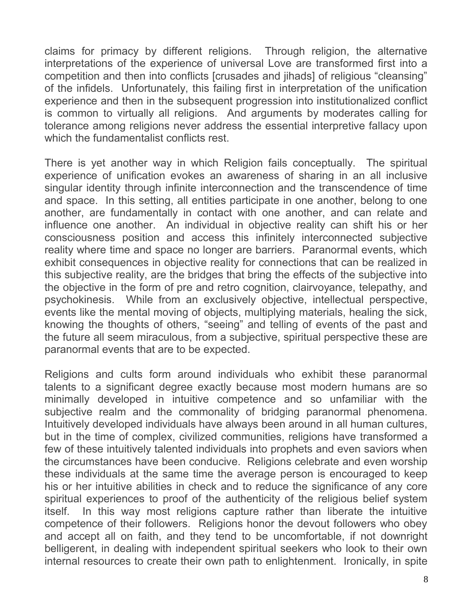claims for primacy by different religions. Through religion, the alternative interpretations of the experience of universal Love are transformed first into a competition and then into conflicts [crusades and jihads] of religious "cleansing" of the infidels. Unfortunately, this failing first in interpretation of the unification experience and then in the subsequent progression into institutionalized conflict is common to virtually all religions. And arguments by moderates calling for tolerance among religions never address the essential interpretive fallacy upon which the fundamentalist conflicts rest.

There is yet another way in which Religion fails conceptually. The spiritual experience of unification evokes an awareness of sharing in an all inclusive singular identity through infinite interconnection and the transcendence of time and space. In this setting, all entities participate in one another, belong to one another, are fundamentally in contact with one another, and can relate and influence one another. An individual in objective reality can shift his or her consciousness position and access this infinitely interconnected subjective reality where time and space no longer are barriers. Paranormal events, which exhibit consequences in objective reality for connections that can be realized in this subjective reality, are the bridges that bring the effects of the subjective into the objective in the form of pre and retro cognition, clairvoyance, telepathy, and psychokinesis. While from an exclusively objective, intellectual perspective, events like the mental moving of objects, multiplying materials, healing the sick, knowing the thoughts of others, "seeing" and telling of events of the past and the future all seem miraculous, from a subjective, spiritual perspective these are paranormal events that are to be expected.

Religions and cults form around individuals who exhibit these paranormal talents to a significant degree exactly because most modern humans are so minimally developed in intuitive competence and so unfamiliar with the subjective realm and the commonality of bridging paranormal phenomena. Intuitively developed individuals have always been around in all human cultures, but in the time of complex, civilized communities, religions have transformed a few of these intuitively talented individuals into prophets and even saviors when the circumstances have been conducive. Religions celebrate and even worship these individuals at the same time the average person is encouraged to keep his or her intuitive abilities in check and to reduce the significance of any core spiritual experiences to proof of the authenticity of the religious belief system itself. In this way most religions capture rather than liberate the intuitive competence of their followers. Religions honor the devout followers who obey and accept all on faith, and they tend to be uncomfortable, if not downright belligerent, in dealing with independent spiritual seekers who look to their own internal resources to create their own path to enlightenment. Ironically, in spite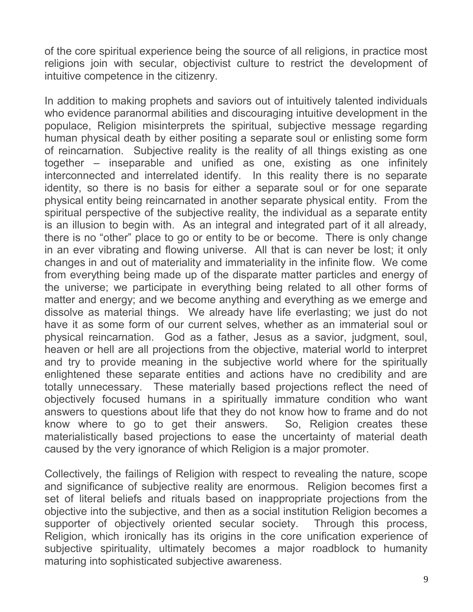of the core spiritual experience being the source of all religions, in practice most religions join with secular, objectivist culture to restrict the development of intuitive competence in the citizenry.

In addition to making prophets and saviors out of intuitively talented individuals who evidence paranormal abilities and discouraging intuitive development in the populace, Religion misinterprets the spiritual, subjective message regarding human physical death by either positing a separate soul or enlisting some form of reincarnation. Subjective reality is the reality of all things existing as one together – inseparable and unified as one, existing as one infinitely interconnected and interrelated identify. In this reality there is no separate identity, so there is no basis for either a separate soul or for one separate physical entity being reincarnated in another separate physical entity. From the spiritual perspective of the subjective reality, the individual as a separate entity is an illusion to begin with. As an integral and integrated part of it all already, there is no "other" place to go or entity to be or become. There is only change in an ever vibrating and flowing universe. All that is can never be lost; it only changes in and out of materiality and immateriality in the infinite flow. We come from everything being made up of the disparate matter particles and energy of the universe; we participate in everything being related to all other forms of matter and energy; and we become anything and everything as we emerge and dissolve as material things. We already have life everlasting; we just do not have it as some form of our current selves, whether as an immaterial soul or physical reincarnation. God as a father, Jesus as a savior, judgment, soul, heaven or hell are all projections from the objective, material world to interpret and try to provide meaning in the subjective world where for the spiritually enlightened these separate entities and actions have no credibility and are totally unnecessary. These materially based projections reflect the need of objectively focused humans in a spiritually immature condition who want answers to questions about life that they do not know how to frame and do not know where to go to get their answers. So, Religion creates these materialistically based projections to ease the uncertainty of material death caused by the very ignorance of which Religion is a major promoter.

Collectively, the failings of Religion with respect to revealing the nature, scope and significance of subjective reality are enormous. Religion becomes first a set of literal beliefs and rituals based on inappropriate projections from the objective into the subjective, and then as a social institution Religion becomes a supporter of objectively oriented secular society. Through this process, Religion, which ironically has its origins in the core unification experience of subjective spirituality, ultimately becomes a major roadblock to humanity maturing into sophisticated subjective awareness.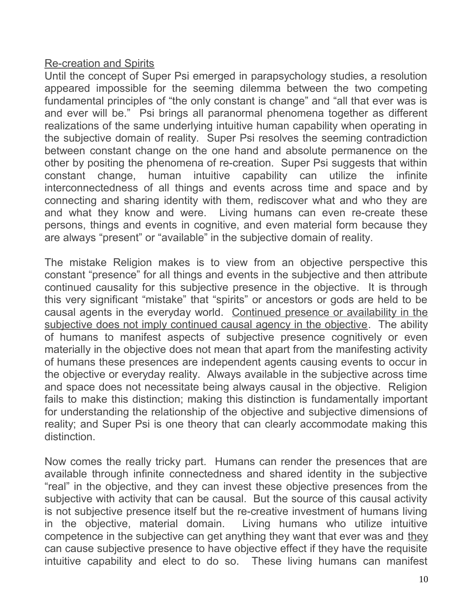## Re-creation and Spirits

Until the concept of Super Psi emerged in parapsychology studies, a resolution appeared impossible for the seeming dilemma between the two competing fundamental principles of "the only constant is change" and "all that ever was is and ever will be." Psi brings all paranormal phenomena together as different realizations of the same underlying intuitive human capability when operating in the subjective domain of reality. Super Psi resolves the seeming contradiction between constant change on the one hand and absolute permanence on the other by positing the phenomena of re-creation. Super Psi suggests that within constant change, human intuitive capability can utilize the infinite interconnectedness of all things and events across time and space and by connecting and sharing identity with them, rediscover what and who they are and what they know and were. Living humans can even re-create these persons, things and events in cognitive, and even material form because they are always "present" or "available" in the subjective domain of reality.

The mistake Religion makes is to view from an objective perspective this constant "presence" for all things and events in the subjective and then attribute continued causality for this subjective presence in the objective. It is through this very significant "mistake" that "spirits" or ancestors or gods are held to be causal agents in the everyday world. Continued presence or availability in the subjective does not imply continued causal agency in the objective. The ability of humans to manifest aspects of subjective presence cognitively or even materially in the objective does not mean that apart from the manifesting activity of humans these presences are independent agents causing events to occur in the objective or everyday reality. Always available in the subjective across time and space does not necessitate being always causal in the objective. Religion fails to make this distinction; making this distinction is fundamentally important for understanding the relationship of the objective and subjective dimensions of reality; and Super Psi is one theory that can clearly accommodate making this distinction.

Now comes the really tricky part. Humans can render the presences that are available through infinite connectedness and shared identity in the subjective "real" in the objective, and they can invest these objective presences from the subjective with activity that can be causal. But the source of this causal activity is not subjective presence itself but the re-creative investment of humans living in the objective, material domain. Living humans who utilize intuitive competence in the subjective can get anything they want that ever was and they can cause subjective presence to have objective effect if they have the requisite intuitive capability and elect to do so. These living humans can manifest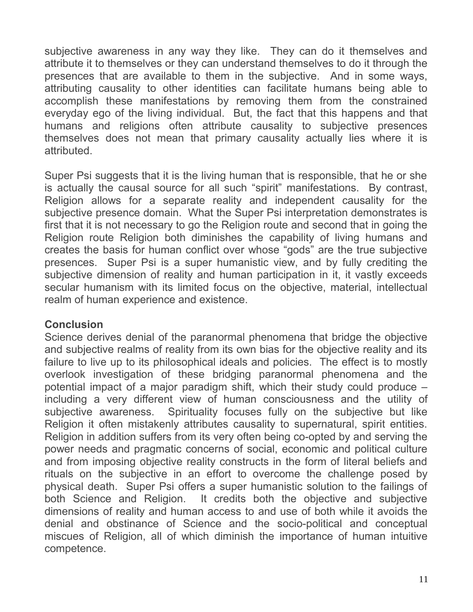subjective awareness in any way they like. They can do it themselves and attribute it to themselves or they can understand themselves to do it through the presences that are available to them in the subjective. And in some ways, attributing causality to other identities can facilitate humans being able to accomplish these manifestations by removing them from the constrained everyday ego of the living individual. But, the fact that this happens and that humans and religions often attribute causality to subjective presences themselves does not mean that primary causality actually lies where it is attributed.

Super Psi suggests that it is the living human that is responsible, that he or she is actually the causal source for all such "spirit" manifestations. By contrast, Religion allows for a separate reality and independent causality for the subjective presence domain. What the Super Psi interpretation demonstrates is first that it is not necessary to go the Religion route and second that in going the Religion route Religion both diminishes the capability of living humans and creates the basis for human conflict over whose "gods" are the true subjective presences. Super Psi is a super humanistic view, and by fully crediting the subjective dimension of reality and human participation in it, it vastly exceeds secular humanism with its limited focus on the objective, material, intellectual realm of human experience and existence.

## **Conclusion**

Science derives denial of the paranormal phenomena that bridge the objective and subjective realms of reality from its own bias for the objective reality and its failure to live up to its philosophical ideals and policies. The effect is to mostly overlook investigation of these bridging paranormal phenomena and the potential impact of a major paradigm shift, which their study could produce – including a very different view of human consciousness and the utility of subjective awareness. Spirituality focuses fully on the subjective but like Religion it often mistakenly attributes causality to supernatural, spirit entities. Religion in addition suffers from its very often being co-opted by and serving the power needs and pragmatic concerns of social, economic and political culture and from imposing objective reality constructs in the form of literal beliefs and rituals on the subjective in an effort to overcome the challenge posed by physical death. Super Psi offers a super humanistic solution to the failings of both Science and Religion. It credits both the objective and subjective dimensions of reality and human access to and use of both while it avoids the denial and obstinance of Science and the socio-political and conceptual miscues of Religion, all of which diminish the importance of human intuitive competence.